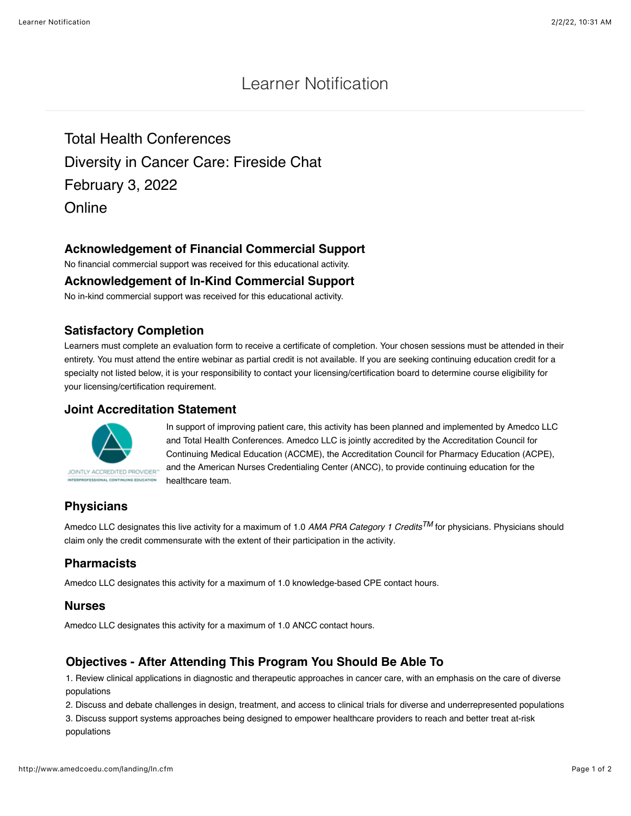# Learner Notification

Total Health Conferences Diversity in Cancer Care: Fireside Chat February 3, 2022 **Online** 

# **Acknowledgement of Financial Commercial Support**

No financial commercial support was received for this educational activity.

#### **Acknowledgement of In-Kind Commercial Support**

No in-kind commercial support was received for this educational activity.

#### **Satisfactory Completion**

Learners must complete an evaluation form to receive a certificate of completion. Your chosen sessions must be attended in their entirety. You must attend the entire webinar as partial credit is not available. If you are seeking continuing education credit for a specialty not listed below, it is your responsibility to contact your licensing/certification board to determine course eligibility for your licensing/certification requirement.

#### **Joint Accreditation Statement**



In support of improving patient care, this activity has been planned and implemented by Amedco LLC and Total Health Conferences. Amedco LLC is jointly accredited by the Accreditation Council for Continuing Medical Education (ACCME), the Accreditation Council for Pharmacy Education (ACPE), and the American Nurses Credentialing Center (ANCC), to provide continuing education for the healthcare team.

# **Physicians**

Amedco LLC designates this live activity for a maximum of 1.0 *AMA PRA Category 1 CreditsTM* for physicians. Physicians should claim only the credit commensurate with the extent of their participation in the activity.

# **Pharmacists**

Amedco LLC designates this activity for a maximum of 1.0 knowledge-based CPE contact hours.

#### **Nurses**

Amedco LLC designates this activity for a maximum of 1.0 ANCC contact hours.

# **Objectives - After Attending This Program You Should Be Able To**

1. Review clinical applications in diagnostic and therapeutic approaches in cancer care, with an emphasis on the care of diverse populations

2. Discuss and debate challenges in design, treatment, and access to clinical trials for diverse and underrepresented populations

3. Discuss support systems approaches being designed to empower healthcare providers to reach and better treat at-risk populations